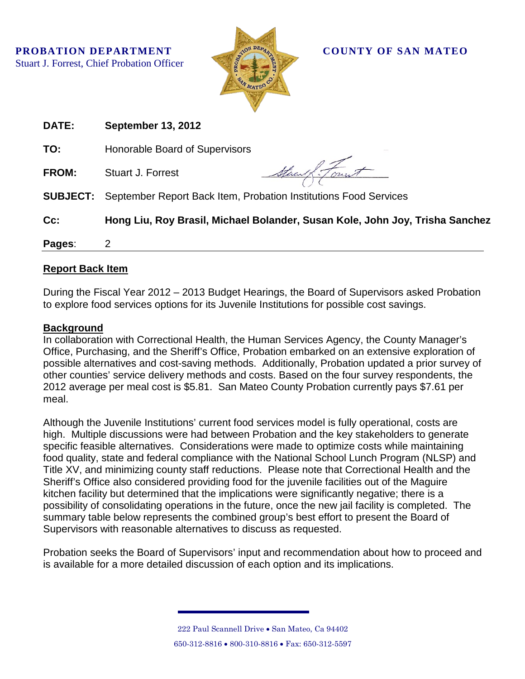

| <b>DATE:</b>    | <b>September 13, 2012</b>                                                    |
|-----------------|------------------------------------------------------------------------------|
| TO:             | Honorable Board of Supervisors                                               |
| <b>FROM:</b>    | Stand Forest<br><b>Stuart J. Forrest</b>                                     |
| <b>SUBJECT:</b> | September Report Back Item, Probation Institutions Food Services             |
| Cc:             | Hong Liu, Roy Brasil, Michael Bolander, Susan Kole, John Joy, Trisha Sanchez |
| Pages:          | 2                                                                            |

## **Report Back Item**

During the Fiscal Year 2012 – 2013 Budget Hearings, the Board of Supervisors asked Probation to explore food services options for its Juvenile Institutions for possible cost savings.

## **Background**

In collaboration with Correctional Health, the Human Services Agency, the County Manager's Office, Purchasing, and the Sheriff's Office, Probation embarked on an extensive exploration of possible alternatives and cost-saving methods. Additionally, Probation updated a prior survey of other counties' service delivery methods and costs. Based on the four survey respondents, the 2012 average per meal cost is \$5.81. San Mateo County Probation currently pays \$7.61 per meal.

Although the Juvenile Institutions' current food services model is fully operational, costs are high. Multiple discussions were had between Probation and the key stakeholders to generate specific feasible alternatives. Considerations were made to optimize costs while maintaining food quality, state and federal compliance with the National School Lunch Program (NLSP) and Title XV, and minimizing county staff reductions. Please note that Correctional Health and the Sheriff's Office also considered providing food for the juvenile facilities out of the Maguire kitchen facility but determined that the implications were significantly negative; there is a possibility of consolidating operations in the future, once the new jail facility is completed. The summary table below represents the combined group's best effort to present the Board of Supervisors with reasonable alternatives to discuss as requested.

Probation seeks the Board of Supervisors' input and recommendation about how to proceed and is available for a more detailed discussion of each option and its implications.

> 222 Paul Scannell Drive • San Mateo, Ca 94402 650-312-8816 • 800-310-8816 • Fax: 650-312-5597